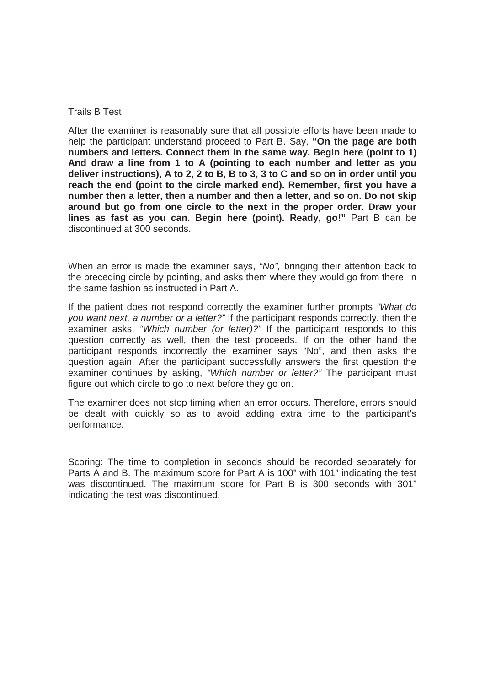#### Trails B Test

After the examiner is reasonably sure that all possible efforts have been made to help the participant understand proceed to Part B. Say, **"On the page are both numbers and letters. Connect them in the same way. Begin here (point to 1) And draw a line from 1 to A (pointing to each number and letter as you deliver instructions), A to 2, 2 to B, B to 3, 3 to C and so on in order until you reach the end (point to the circle marked end). Remember, first you have a number then a letter, then a number and then a letter, and so on. Do not skip around but go from one circle to the next in the proper order. Draw your lines as fast as you can. Begin here (point). Ready, go!"** Part B can be discontinued at 300 seconds.

When an error is made the examiner says, *"No",* bringing their attention back to the preceding circle by pointing, and asks them where they would go from there, in the same fashion as instructed in Part A.

If the patient does not respond correctly the examiner further prompts *"What do you want next, a number or a letter?"* If the participant responds correctly, then the examiner asks, *"Which number (or letter)?"* If the participant responds to this question correctly as well, then the test proceeds. If on the other hand the participant responds incorrectly the examiner says "No", and then asks the question again. After the participant successfully answers the first question the examiner continues by asking, *"Which number or letter?"* The participant must figure out which circle to go to next before they go on.

The examiner does not stop timing when an error occurs. Therefore, errors should be dealt with quickly so as to avoid adding extra time to the participant's performance.

Scoring: The time to completion in seconds should be recorded separately for Parts A and B. The maximum score for Part A is 100" with 101" indicating the test was discontinued. The maximum score for Part B is 300 seconds with 301" indicating the test was discontinued.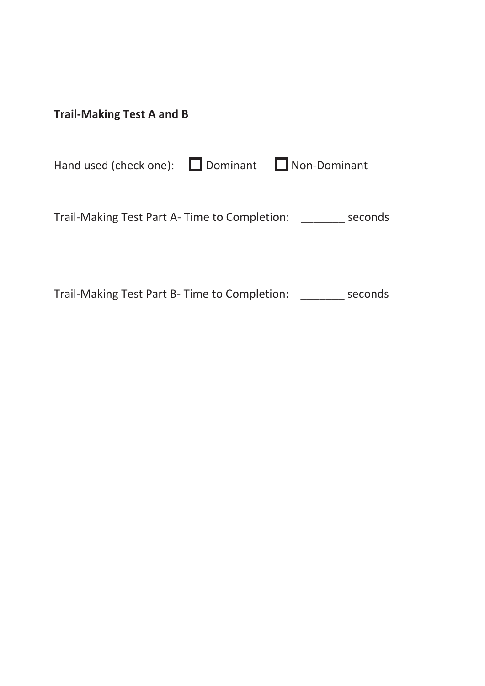| <b>Trail-Making Test A and B</b> |  |
|----------------------------------|--|
|----------------------------------|--|

Hand used (check one): Dominant Non-Dominant

Trail-Making Test Part A- Time to Completion: \_\_\_\_\_\_\_ seconds

Trail-Making Test Part B- Time to Completion: \_\_\_\_\_\_\_ seconds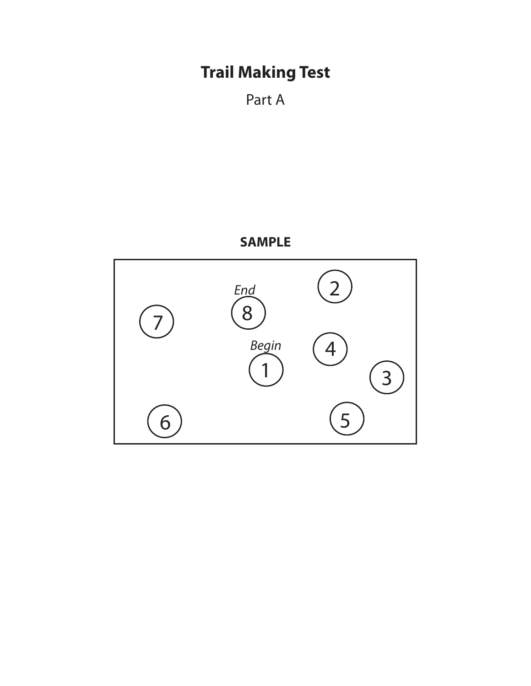## **Trail Making Test**

Part A

### **SAMPLE**

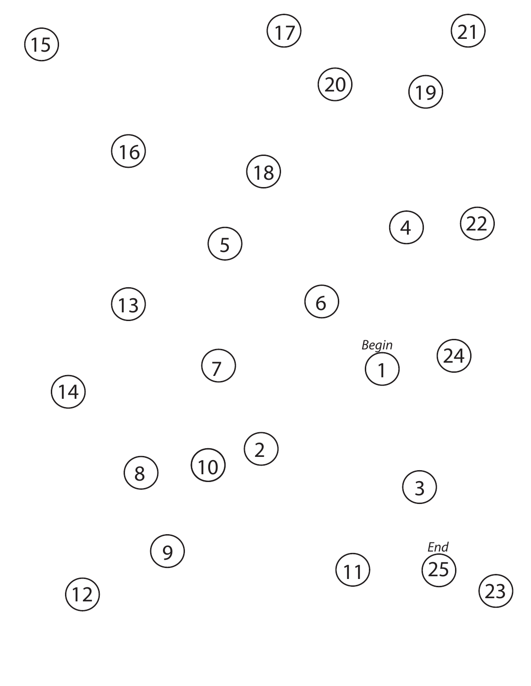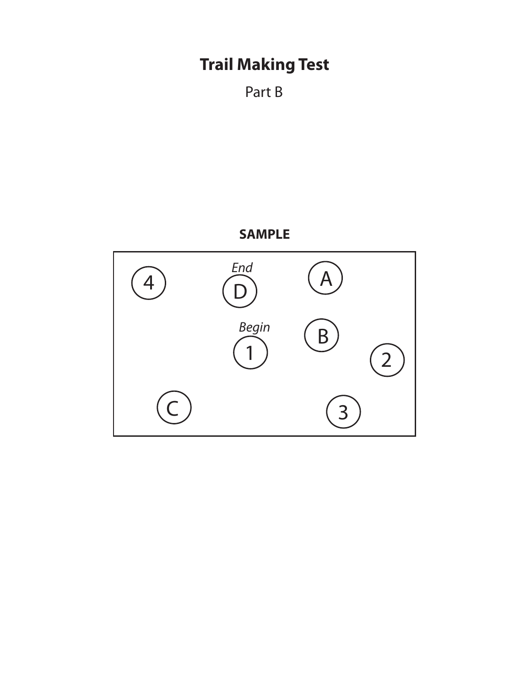# **TRAIL MAKING Trail Making Test**

```
Part B
```
### **SAMPLE SAMPLE**

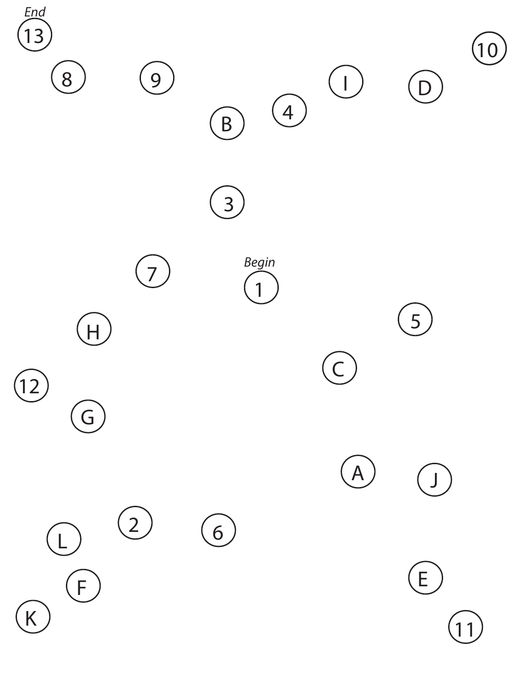